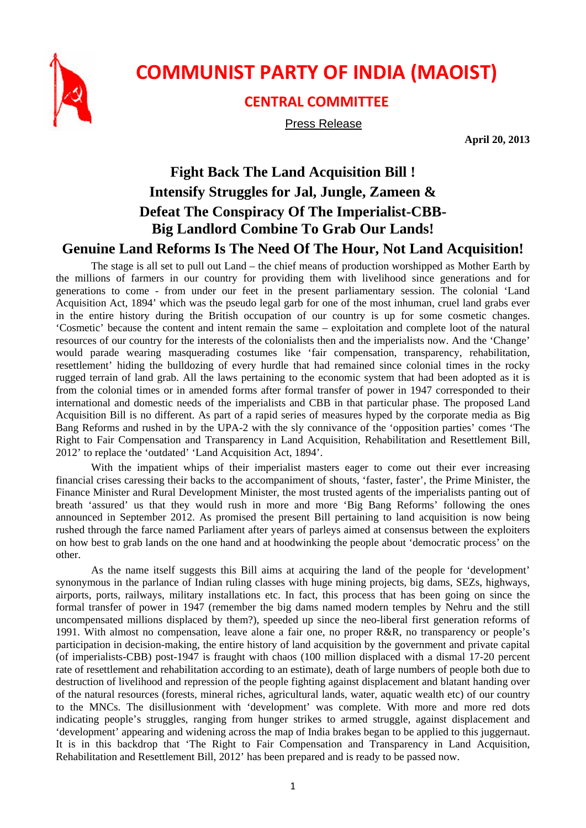

## **COMMUNIST PARTY OF INDIA (MAOIST)**

## **CENTRAL COMMITTEE**

Press Release

**April 20, 2013** 

## **Fight Back The Land Acquisition Bill ! Intensify Struggles for Jal, Jungle, Zameen & Defeat The Conspiracy Of The Imperialist-CBB-Big Landlord Combine To Grab Our Lands!**

## **Genuine Land Reforms Is The Need Of The Hour, Not Land Acquisition!**

The stage is all set to pull out Land – the chief means of production worshipped as Mother Earth by the millions of farmers in our country for providing them with livelihood since generations and for generations to come - from under our feet in the present parliamentary session. The colonial 'Land Acquisition Act, 1894' which was the pseudo legal garb for one of the most inhuman, cruel land grabs ever in the entire history during the British occupation of our country is up for some cosmetic changes. 'Cosmetic' because the content and intent remain the same – exploitation and complete loot of the natural resources of our country for the interests of the colonialists then and the imperialists now. And the 'Change' would parade wearing masquerading costumes like 'fair compensation, transparency, rehabilitation, resettlement' hiding the bulldozing of every hurdle that had remained since colonial times in the rocky rugged terrain of land grab. All the laws pertaining to the economic system that had been adopted as it is from the colonial times or in amended forms after formal transfer of power in 1947 corresponded to their international and domestic needs of the imperialists and CBB in that particular phase. The proposed Land Acquisition Bill is no different. As part of a rapid series of measures hyped by the corporate media as Big Bang Reforms and rushed in by the UPA-2 with the sly connivance of the 'opposition parties' comes 'The Right to Fair Compensation and Transparency in Land Acquisition, Rehabilitation and Resettlement Bill, 2012' to replace the 'outdated' 'Land Acquisition Act, 1894'.

With the impatient whips of their imperialist masters eager to come out their ever increasing financial crises caressing their backs to the accompaniment of shouts, 'faster, faster', the Prime Minister, the Finance Minister and Rural Development Minister, the most trusted agents of the imperialists panting out of breath 'assured' us that they would rush in more and more 'Big Bang Reforms' following the ones announced in September 2012. As promised the present Bill pertaining to land acquisition is now being rushed through the farce named Parliament after years of parleys aimed at consensus between the exploiters on how best to grab lands on the one hand and at hoodwinking the people about 'democratic process' on the other.

As the name itself suggests this Bill aims at acquiring the land of the people for 'development' synonymous in the parlance of Indian ruling classes with huge mining projects, big dams, SEZs, highways, airports, ports, railways, military installations etc. In fact, this process that has been going on since the formal transfer of power in 1947 (remember the big dams named modern temples by Nehru and the still uncompensated millions displaced by them?), speeded up since the neo-liberal first generation reforms of 1991. With almost no compensation, leave alone a fair one, no proper R&R, no transparency or people's participation in decision-making, the entire history of land acquisition by the government and private capital (of imperialists-CBB) post-1947 is fraught with chaos (100 million displaced with a dismal 17-20 percent rate of resettlement and rehabilitation according to an estimate), death of large numbers of people both due to destruction of livelihood and repression of the people fighting against displacement and blatant handing over of the natural resources (forests, mineral riches, agricultural lands, water, aquatic wealth etc) of our country to the MNCs. The disillusionment with 'development' was complete. With more and more red dots indicating people's struggles, ranging from hunger strikes to armed struggle, against displacement and 'development' appearing and widening across the map of India brakes began to be applied to this juggernaut. It is in this backdrop that 'The Right to Fair Compensation and Transparency in Land Acquisition, Rehabilitation and Resettlement Bill, 2012' has been prepared and is ready to be passed now.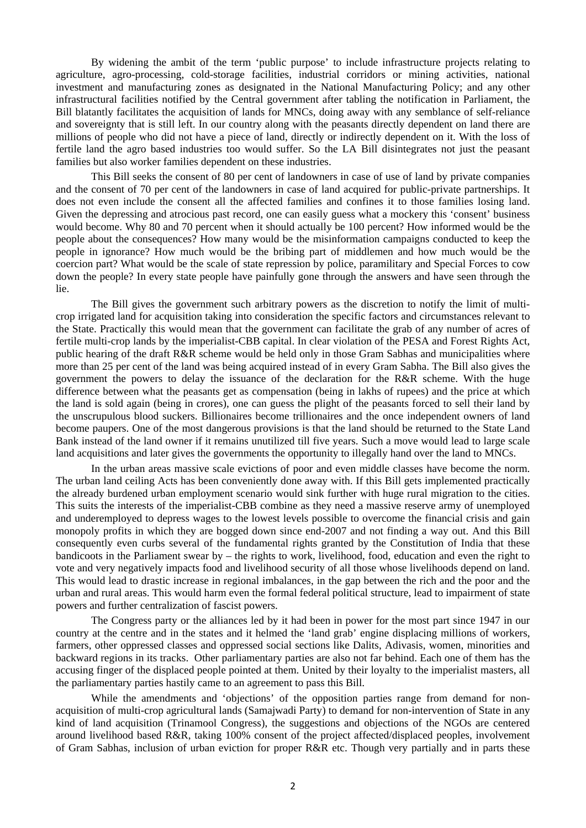By widening the ambit of the term 'public purpose' to include infrastructure projects relating to agriculture, agro-processing, cold-storage facilities, industrial corridors or mining activities, national investment and manufacturing zones as designated in the National Manufacturing Policy; and any other infrastructural facilities notified by the Central government after tabling the notification in Parliament, the Bill blatantly facilitates the acquisition of lands for MNCs, doing away with any semblance of self-reliance and sovereignty that is still left. In our country along with the peasants directly dependent on land there are millions of people who did not have a piece of land, directly or indirectly dependent on it. With the loss of fertile land the agro based industries too would suffer. So the LA Bill disintegrates not just the peasant families but also worker families dependent on these industries.

This Bill seeks the consent of 80 per cent of landowners in case of use of land by private companies and the consent of 70 per cent of the landowners in case of land acquired for public-private partnerships. It does not even include the consent all the affected families and confines it to those families losing land. Given the depressing and atrocious past record, one can easily guess what a mockery this 'consent' business would become. Why 80 and 70 percent when it should actually be 100 percent? How informed would be the people about the consequences? How many would be the misinformation campaigns conducted to keep the people in ignorance? How much would be the bribing part of middlemen and how much would be the coercion part? What would be the scale of state repression by police, paramilitary and Special Forces to cow down the people? In every state people have painfully gone through the answers and have seen through the lie.

The Bill gives the government such arbitrary powers as the discretion to notify the limit of multicrop irrigated land for acquisition taking into consideration the specific factors and circumstances relevant to the State. Practically this would mean that the government can facilitate the grab of any number of acres of fertile multi-crop lands by the imperialist-CBB capital. In clear violation of the PESA and Forest Rights Act, public hearing of the draft R&R scheme would be held only in those Gram Sabhas and municipalities where more than 25 per cent of the land was being acquired instead of in every Gram Sabha. The Bill also gives the government the powers to delay the issuance of the declaration for the R&R scheme. With the huge difference between what the peasants get as compensation (being in lakhs of rupees) and the price at which the land is sold again (being in crores), one can guess the plight of the peasants forced to sell their land by the unscrupulous blood suckers. Billionaires become trillionaires and the once independent owners of land become paupers. One of the most dangerous provisions is that the land should be returned to the State Land Bank instead of the land owner if it remains unutilized till five years. Such a move would lead to large scale land acquisitions and later gives the governments the opportunity to illegally hand over the land to MNCs.

In the urban areas massive scale evictions of poor and even middle classes have become the norm. The urban land ceiling Acts has been conveniently done away with. If this Bill gets implemented practically the already burdened urban employment scenario would sink further with huge rural migration to the cities. This suits the interests of the imperialist-CBB combine as they need a massive reserve army of unemployed and underemployed to depress wages to the lowest levels possible to overcome the financial crisis and gain monopoly profits in which they are bogged down since end-2007 and not finding a way out. And this Bill consequently even curbs several of the fundamental rights granted by the Constitution of India that these bandicoots in the Parliament swear by – the rights to work, livelihood, food, education and even the right to vote and very negatively impacts food and livelihood security of all those whose livelihoods depend on land. This would lead to drastic increase in regional imbalances, in the gap between the rich and the poor and the urban and rural areas. This would harm even the formal federal political structure, lead to impairment of state powers and further centralization of fascist powers.

The Congress party or the alliances led by it had been in power for the most part since 1947 in our country at the centre and in the states and it helmed the 'land grab' engine displacing millions of workers, farmers, other oppressed classes and oppressed social sections like Dalits, Adivasis, women, minorities and backward regions in its tracks. Other parliamentary parties are also not far behind. Each one of them has the accusing finger of the displaced people pointed at them. United by their loyalty to the imperialist masters, all the parliamentary parties hastily came to an agreement to pass this Bill.

While the amendments and 'objections' of the opposition parties range from demand for nonacquisition of multi-crop agricultural lands (Samajwadi Party) to demand for non-intervention of State in any kind of land acquisition (Trinamool Congress), the suggestions and objections of the NGOs are centered around livelihood based R&R, taking 100% consent of the project affected/displaced peoples, involvement of Gram Sabhas, inclusion of urban eviction for proper R&R etc. Though very partially and in parts these